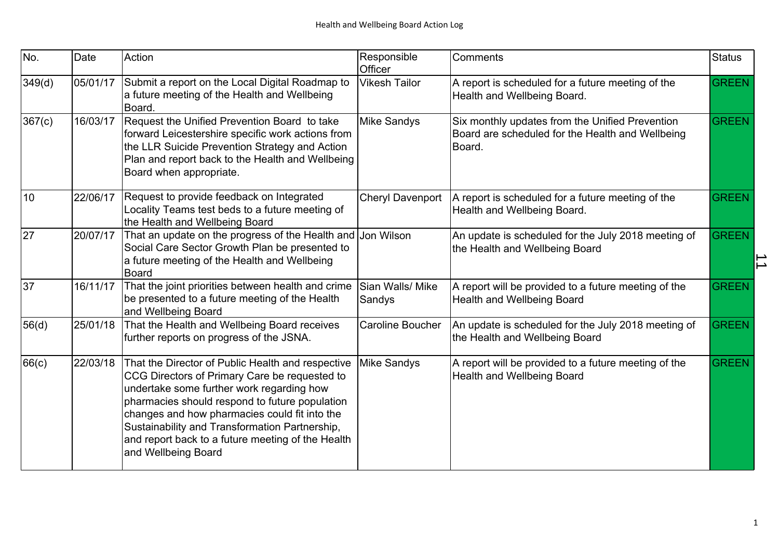| No.    | Date     | Action                                                                                                                                                                                                                                                                                                                                                                           | Responsible<br>Officer     | Comments                                                                                                      | <b>Status</b>                 |
|--------|----------|----------------------------------------------------------------------------------------------------------------------------------------------------------------------------------------------------------------------------------------------------------------------------------------------------------------------------------------------------------------------------------|----------------------------|---------------------------------------------------------------------------------------------------------------|-------------------------------|
| 349(d) | 05/01/17 | Submit a report on the Local Digital Roadmap to<br>a future meeting of the Health and Wellbeing<br>Board.                                                                                                                                                                                                                                                                        | <b>Vikesh Tailor</b>       | A report is scheduled for a future meeting of the<br>Health and Wellbeing Board.                              | GREEN                         |
| 367(c) | 16/03/17 | Request the Unified Prevention Board to take<br>forward Leicestershire specific work actions from<br>the LLR Suicide Prevention Strategy and Action<br>Plan and report back to the Health and Wellbeing<br>Board when appropriate.                                                                                                                                               | Mike Sandys                | Six monthly updates from the Unified Prevention<br>Board are scheduled for the Health and Wellbeing<br>Board. | GREEN                         |
| 10     | 22/06/17 | Request to provide feedback on Integrated<br>Locality Teams test beds to a future meeting of<br>the Health and Wellbeing Board                                                                                                                                                                                                                                                   | <b>Cheryl Davenport</b>    | A report is scheduled for a future meeting of the<br>Health and Wellbeing Board.                              | <b>GREEN</b>                  |
| 27     | 20/07/17 | That an update on the progress of the Health and<br>Social Care Sector Growth Plan be presented to<br>a future meeting of the Health and Wellbeing<br><b>Board</b>                                                                                                                                                                                                               | Jon Wilson                 | An update is scheduled for the July 2018 meeting of<br>the Health and Wellbeing Board                         | <b>GREEN</b><br>$\rightarrow$ |
| 37     | 16/11/17 | That the joint priorities between health and crime<br>be presented to a future meeting of the Health<br>and Wellbeing Board                                                                                                                                                                                                                                                      | Sian Walls/ Mike<br>Sandys | A report will be provided to a future meeting of the<br>Health and Wellbeing Board                            | <b>GREEN</b>                  |
| 56(d)  | 25/01/18 | That the Health and Wellbeing Board receives<br>further reports on progress of the JSNA.                                                                                                                                                                                                                                                                                         | <b>Caroline Boucher</b>    | An update is scheduled for the July 2018 meeting of<br>the Health and Wellbeing Board                         | GREEN                         |
| 66(c)  | 22/03/18 | That the Director of Public Health and respective<br>CCG Directors of Primary Care be requested to<br>undertake some further work regarding how<br>pharmacies should respond to future population<br>changes and how pharmacies could fit into the<br>Sustainability and Transformation Partnership,<br>and report back to a future meeting of the Health<br>and Wellbeing Board | <b>Mike Sandys</b>         | A report will be provided to a future meeting of the<br><b>Health and Wellbeing Board</b>                     | GREEN                         |